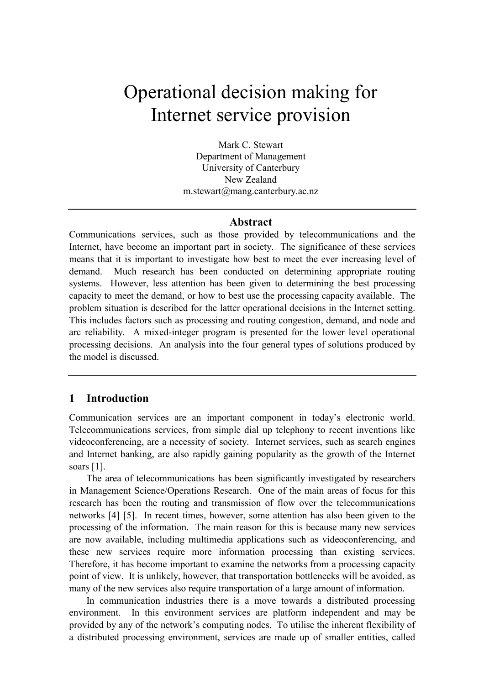# Operational decision making for Internet service provision

Mark C. Stewart Department of Management University of Canterbury New Zealand m.stewart@mang.canterbury.ac.nz

#### **Abstract**

Communications services, such as those provided by telecommunications and the Internet, have become an important part in society. The significance of these services means that it is important to investigate how best to meet the ever increasing level of demand. Much research has been conducted on determining appropriate routing systems. However, less attention has been given to determining the best processing capacity to meet the demand, or how to best use the processing capacity available. The problem situation is described for the latter operational decisions in the Internet setting. This includes factors such as processing and routing congestion, demand, and node and arc reliability. A mixed-integer program is presented for the lower level operational processing decisions. An analysis into the four general types of solutions produced by the model is discussed.

#### **1 Introduction**

Communication services are an important component in today's electronic world. Telecommunications services, from simple dial up telephony to recent inventions like videoconferencing, are a necessity of society. Internet services, such as search engines and Internet banking, are also rapidly gaining popularity as the growth of the Internet soars [1].

The area of telecommunications has been significantly investigated by researchers in Management Science/Operations Research. One of the main areas of focus for this research has been the routing and transmission of flow over the telecommunications networks [4] [5]. In recent times, however, some attention has also been given to the processing of the information. The main reason for this is because many new services are now available, including multimedia applications such as videoconferencing, and these new services require more information processing than existing services. Therefore, it has become important to examine the networks from a processing capacity point of view. It is unlikely, however, that transportation bottlenecks will be avoided, as many of the new services also require transportation of a large amount of information.

In communication industries there is a move towards a distributed processing environment. In this environment services are platform independent and may be provided by any of the network's computing nodes. To utilise the inherent flexibility of a distributed processing environment, services are made up of smaller entities, called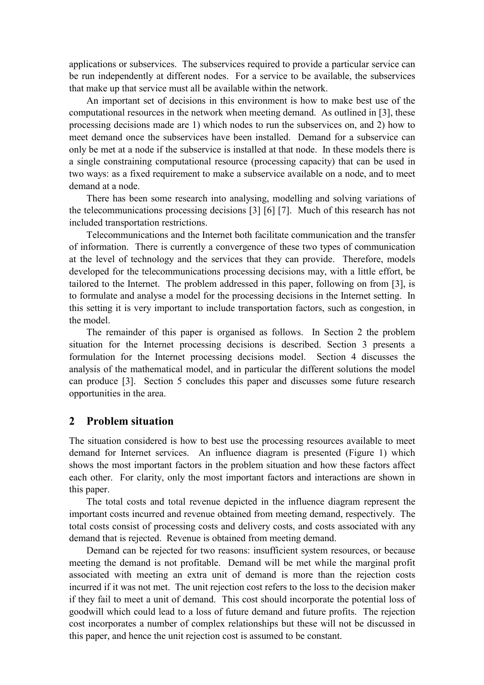applications or subservices. The subservices required to provide a particular service can be run independently at different nodes. For a service to be available, the subservices that make up that service must all be available within the network.

An important set of decisions in this environment is how to make best use of the computational resources in the network when meeting demand. As outlined in [3], these processing decisions made are 1) which nodes to run the subservices on, and 2) how to meet demand once the subservices have been installed. Demand for a subservice can only be met at a node if the subservice is installed at that node. In these models there is a single constraining computational resource (processing capacity) that can be used in two ways: as a fixed requirement to make a subservice available on a node, and to meet demand at a node.

There has been some research into analysing, modelling and solving variations of the telecommunications processing decisions [3] [6] [7]. Much of this research has not included transportation restrictions.

Telecommunications and the Internet both facilitate communication and the transfer of information. There is currently a convergence of these two types of communication at the level of technology and the services that they can provide. Therefore, models developed for the telecommunications processing decisions may, with a little effort, be tailored to the Internet. The problem addressed in this paper, following on from [3], is to formulate and analyse a model for the processing decisions in the Internet setting. In this setting it is very important to include transportation factors, such as congestion, in the model.

The remainder of this paper is organised as follows. In Section 2 the problem situation for the Internet processing decisions is described. Section 3 presents a formulation for the Internet processing decisions model. Section 4 discusses the analysis of the mathematical model, and in particular the different solutions the model can produce [3]. Section 5 concludes this paper and discusses some future research opportunities in the area.

#### **2 Problem situation**

The situation considered is how to best use the processing resources available to meet demand for Internet services. An influence diagram is presented (Figure 1) which shows the most important factors in the problem situation and how these factors affect each other. For clarity, only the most important factors and interactions are shown in this paper.

The total costs and total revenue depicted in the influence diagram represent the important costs incurred and revenue obtained from meeting demand, respectively. The total costs consist of processing costs and delivery costs, and costs associated with any demand that is rejected. Revenue is obtained from meeting demand.

Demand can be rejected for two reasons: insufficient system resources, or because meeting the demand is not profitable. Demand will be met while the marginal profit associated with meeting an extra unit of demand is more than the rejection costs incurred if it was not met. The unit rejection cost refers to the loss to the decision maker if they fail to meet a unit of demand. This cost should incorporate the potential loss of goodwill which could lead to a loss of future demand and future profits. The rejection cost incorporates a number of complex relationships but these will not be discussed in this paper, and hence the unit rejection cost is assumed to be constant.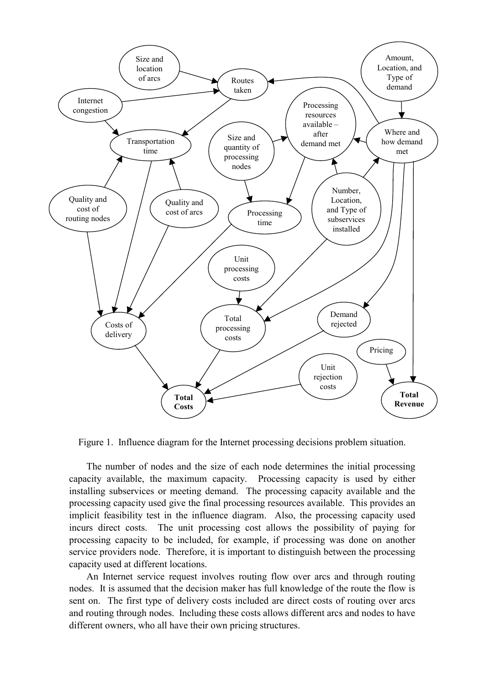

Figure 1. Influence diagram for the Internet processing decisions problem situation.

The number of nodes and the size of each node determines the initial processing capacity available, the maximum capacity. Processing capacity is used by either installing subservices or meeting demand. The processing capacity available and the processing capacity used give the final processing resources available. This provides an implicit feasibility test in the influence diagram. Also, the processing capacity used incurs direct costs. The unit processing cost allows the possibility of paying for processing capacity to be included, for example, if processing was done on another service providers node. Therefore, it is important to distinguish between the processing capacity used at different locations.

An Internet service request involves routing flow over arcs and through routing nodes. It is assumed that the decision maker has full knowledge of the route the flow is sent on. The first type of delivery costs included are direct costs of routing over arcs and routing through nodes. Including these costs allows different arcs and nodes to have different owners, who all have their own pricing structures.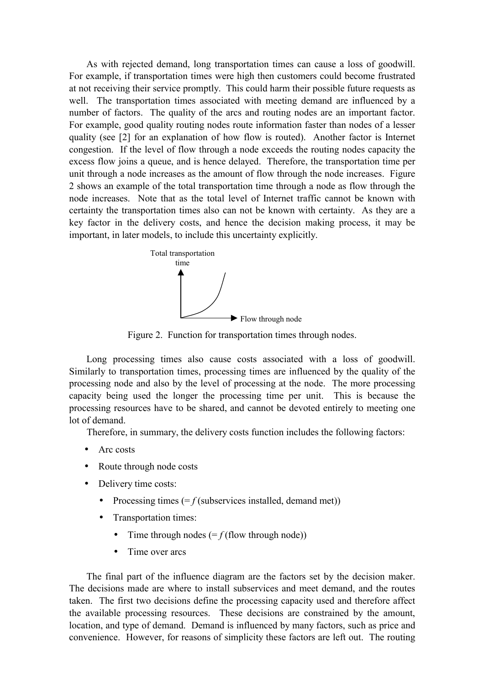As with rejected demand, long transportation times can cause a loss of goodwill. For example, if transportation times were high then customers could become frustrated at not receiving their service promptly. This could harm their possible future requests as well. The transportation times associated with meeting demand are influenced by a number of factors. The quality of the arcs and routing nodes are an important factor. For example, good quality routing nodes route information faster than nodes of a lesser quality (see [2] for an explanation of how flow is routed). Another factor is Internet congestion. If the level of flow through a node exceeds the routing nodes capacity the excess flow joins a queue, and is hence delayed. Therefore, the transportation time per unit through a node increases as the amount of flow through the node increases. Figure 2 shows an example of the total transportation time through a node as flow through the node increases. Note that as the total level of Internet traffic cannot be known with certainty the transportation times also can not be known with certainty. As they are a key factor in the delivery costs, and hence the decision making process, it may be important, in later models, to include this uncertainty explicitly.



Figure 2. Function for transportation times through nodes.

Long processing times also cause costs associated with a loss of goodwill. Similarly to transportation times, processing times are influenced by the quality of the processing node and also by the level of processing at the node. The more processing capacity being used the longer the processing time per unit. This is because the processing resources have to be shared, and cannot be devoted entirely to meeting one lot of demand.

Therefore, in summary, the delivery costs function includes the following factors:

- Arc costs
- Route through node costs
- Delivery time costs:
	- Processing times  $(= f$  (subservices installed, demand met))
	- Transportation times:
		- Time through nodes  $( = f$  (flow through node))
		- Time over arcs

The final part of the influence diagram are the factors set by the decision maker. The decisions made are where to install subservices and meet demand, and the routes taken. The first two decisions define the processing capacity used and therefore affect the available processing resources. These decisions are constrained by the amount, location, and type of demand. Demand is influenced by many factors, such as price and convenience. However, for reasons of simplicity these factors are left out. The routing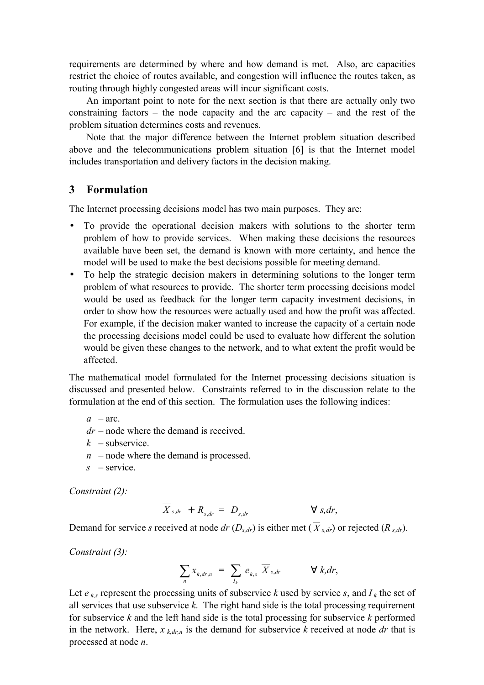requirements are determined by where and how demand is met. Also, arc capacities restrict the choice of routes available, and congestion will influence the routes taken, as routing through highly congested areas will incur significant costs.

An important point to note for the next section is that there are actually only two constraining factors – the node capacity and the arc capacity – and the rest of the problem situation determines costs and revenues.

Note that the major difference between the Internet problem situation described above and the telecommunications problem situation [6] is that the Internet model includes transportation and delivery factors in the decision making.

#### **3 Formulation**

The Internet processing decisions model has two main purposes. They are:

- To provide the operational decision makers with solutions to the shorter term problem of how to provide services. When making these decisions the resources available have been set, the demand is known with more certainty, and hence the model will be used to make the best decisions possible for meeting demand.
- To help the strategic decision makers in determining solutions to the longer term problem of what resources to provide. The shorter term processing decisions model would be used as feedback for the longer term capacity investment decisions, in order to show how the resources were actually used and how the profit was affected. For example, if the decision maker wanted to increase the capacity of a certain node the processing decisions model could be used to evaluate how different the solution would be given these changes to the network, and to what extent the profit would be affected.

The mathematical model formulated for the Internet processing decisions situation is discussed and presented below. Constraints referred to in the discussion relate to the formulation at the end of this section. The formulation uses the following indices:

 $a - arc$ 

- $dr$  node where the demand is received.
- $k$  subservice.
- $n \text{ }$  node where the demand is processed.
- $s$  service.

*Constraint (2):* 

$$
\overline{X}_{s,dr} + R_{s,dr} = D_{s,dr} \qquad \forall s,dr,
$$

Demand for service *s* received at node *dr* ( $D_{s,dr}$ ) is either met ( $\overline{X}_{s,dr}$ ) or rejected ( $R_{s,dr}$ ).

*Constraint (3):* 

$$
\sum_{n} x_{k,dr,n} = \sum_{l_k} e_{k,s} \overline{X}_{s,dr} \qquad \forall k,dr,
$$

Let  $e_{k,s}$  represent the processing units of subservice  $k$  used by service  $s$ , and  $I_k$  the set of all services that use subservice *k*. The right hand side is the total processing requirement for subservice *k* and the left hand side is the total processing for subservice *k* performed in the network. Here, *x k,dr,n* is the demand for subservice *k* received at node *dr* that is processed at node *n*.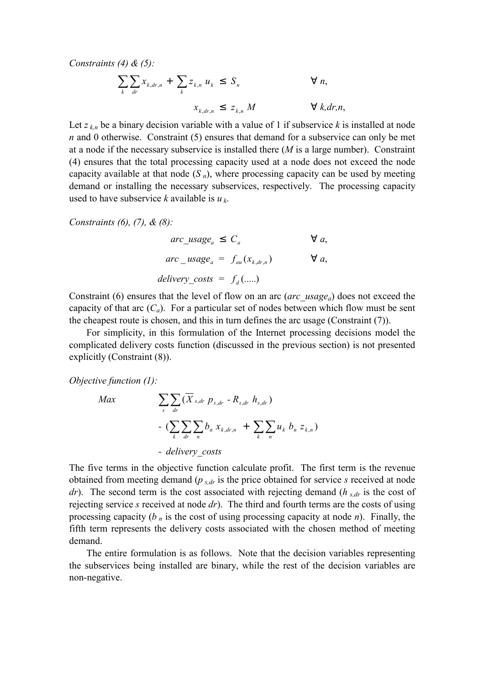*Constraints (4) & (5):* 

$$
\sum_{k} \sum_{dr} x_{k,dr,n} + \sum_{k} z_{k,n} u_k \leq S_n \qquad \forall n,
$$
  

$$
x_{k,dr,n} \leq z_{k,n} M \qquad \forall k,dr,n,
$$

Let  $z_{kn}$  be a binary decision variable with a value of 1 if subservice  $k$  is installed at node *n* and 0 otherwise. Constraint (5) ensures that demand for a subservice can only be met at a node if the necessary subservice is installed there (*M* is a large number). Constraint (4) ensures that the total processing capacity used at a node does not exceed the node capacity available at that node  $(S_n)$ , where processing capacity can be used by meeting demand or installing the necessary subservices, respectively. The processing capacity used to have subservice *k* available is *u k*.

*Constraints (6), (7), & (8):* 

*arc* usage<sub>a</sub>  $\leq C_a$   $\qquad \qquad \forall a$ ,  $arc \_usage_a = f_{au}(x_{k,dr,n})$   $\forall a,$ *delivery* costs =  $f_d$  (......)

Constraint (6) ensures that the level of flow on an arc (*arc\_usagea*) does not exceed the capacity of that arc  $(C_a)$ . For a particular set of nodes between which flow must be sent the cheapest route is chosen, and this in turn defines the arc usage (Constraint (7)).

For simplicity, in this formulation of the Internet processing decisions model the complicated delivery costs function (discussed in the previous section) is not presented explicitly (Constraint (8)).

*Objective function (1):* 

$$
Max \qquad \sum_{s} \sum_{dr} (\overline{X}_{s,dr} p_{s,dr} - R_{s,dr} h_{s,dr})
$$

$$
- (\sum_{k} \sum_{dr} \sum_{n} b_{n} x_{k,dr,n} + \sum_{k} \sum_{n} u_{k} b_{n} z_{k,n})
$$

$$
- delivery \; costs
$$

The five terms in the objective function calculate profit. The first term is the revenue obtained from meeting demand (*p s,dr* is the price obtained for service *s* received at node *dr*). The second term is the cost associated with rejecting demand (*h s,dr* is the cost of rejecting service *s* received at node *dr*). The third and fourth terms are the costs of using processing capacity (*b n* is the cost of using processing capacity at node *n*). Finally, the fifth term represents the delivery costs associated with the chosen method of meeting demand.

The entire formulation is as follows. Note that the decision variables representing the subservices being installed are binary, while the rest of the decision variables are non-negative.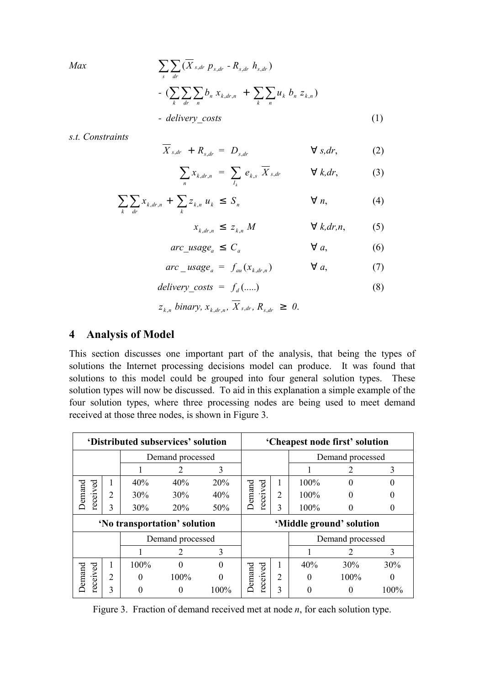$$
Max \qquad \sum_{s} \sum_{dr} (\overline{X}_{s,dr} p_{s,dr} - R_{s,dr} h_{s,dr})
$$

$$
- (\sum_{k} \sum_{dr} \sum_{n} b_{n} x_{k,dr,n} + \sum_{k} \sum_{n} u_{k} b_{n} z_{k,n})
$$

$$
- delivery\_costs
$$

$$
(1)
$$

*s.t. Constraints* 

$$
X_{s,dr} + R_{s,dr} = D_{s,dr} \qquad \forall s,dr,
$$
 (2)

$$
\sum_{n} x_{k,dr,n} = \sum_{I_k} e_{k,s} \overline{X}_{s,dr} \qquad \forall k,dr,
$$
 (3)

$$
\sum_{k} \sum_{dr} x_{k,dr,n} + \sum_{k} z_{k,n} u_k \leq S_n \qquad \qquad \forall n,
$$
 (4)

$$
x_{k,dr,n} \leq z_{k,n} M \qquad \forall k,dr,n,
$$
 (5)

$$
arc\_usage_a \le C_a \qquad \qquad \forall a,
$$
 (6)

$$
arc\_usage_a = f_{au}(x_{k,dr,n}) \qquad \forall a,
$$
 (7)

$$
delay\_costs = f_d(...)
$$
 (8)

$$
z_{k,n}
$$
 binary,  $x_{k,dr,n}$ ,  $\overline{X}_{s,dr}$ ,  $R_{s,dr} \geq 0$ .

# **4 Analysis of Model**

This section discusses one important part of the analysis, that being the types of solutions the Internet processing decisions model can produce. It was found that solutions to this model could be grouped into four general solution types. These solution types will now be discussed. To aid in this explanation a simple example of the four solution types, where three processing nodes are being used to meet demand received at those three nodes, is shown in Figure 3.

| 'Distributed subservices' solution |   |                  |          |                          | 'Cheapest node first' solution |                |                  |                             |          |
|------------------------------------|---|------------------|----------|--------------------------|--------------------------------|----------------|------------------|-----------------------------|----------|
|                                    |   | Demand processed |          |                          |                                |                | Demand processed |                             |          |
|                                    |   |                  |          | 3                        |                                |                |                  |                             | 3        |
| ceived<br>Demand<br>ē              |   | 40%              | 40%      | 20%                      | received<br>Demand             |                | 100%             |                             |          |
|                                    | 2 | 30%              | 30%      | 40%                      |                                | $\overline{2}$ | 100%             |                             |          |
|                                    | 3 | 30%              | 20%      | 50%                      |                                | 3              | $100\%$          |                             | 0        |
| 'No transportation' solution       |   |                  |          | 'Middle ground' solution |                                |                |                  |                             |          |
|                                    |   | Demand processed |          |                          | Demand processed               |                |                  |                             |          |
|                                    |   |                  | 2        | 3                        |                                |                |                  | $\mathcal{D}_{\mathcal{L}}$ | 3        |
| received<br>Demand                 |   | $100\%$          | $\Omega$ | $\Omega$                 |                                |                | 40%              | 30%                         | 30%      |
|                                    | 2 | $\theta$         | 100%     | $\Omega$                 | received<br>Demand             | $\overline{2}$ | $\Omega$         | 100%                        | $\theta$ |
|                                    | 3 |                  | $\theta$ | 100%                     |                                | 3              |                  | $\theta$                    | 100%     |

Figure 3. Fraction of demand received met at node *n*, for each solution type.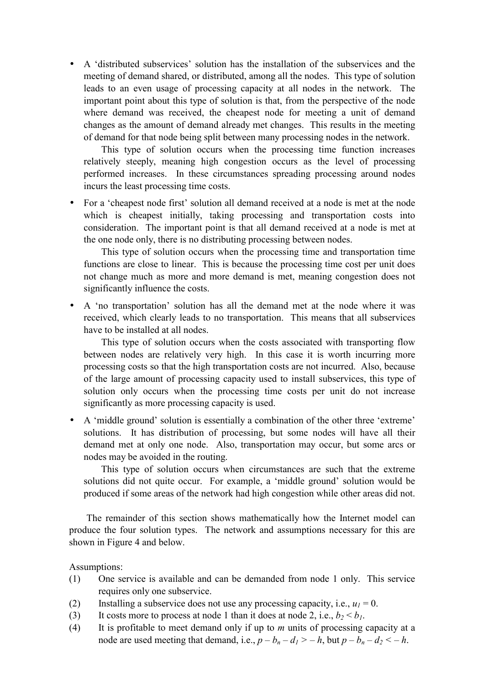• A 'distributed subservices' solution has the installation of the subservices and the meeting of demand shared, or distributed, among all the nodes. This type of solution leads to an even usage of processing capacity at all nodes in the network. The important point about this type of solution is that, from the perspective of the node where demand was received, the cheapest node for meeting a unit of demand changes as the amount of demand already met changes. This results in the meeting of demand for that node being split between many processing nodes in the network.

This type of solution occurs when the processing time function increases relatively steeply, meaning high congestion occurs as the level of processing performed increases. In these circumstances spreading processing around nodes incurs the least processing time costs.

• For a 'cheapest node first' solution all demand received at a node is met at the node which is cheapest initially, taking processing and transportation costs into consideration. The important point is that all demand received at a node is met at the one node only, there is no distributing processing between nodes.

This type of solution occurs when the processing time and transportation time functions are close to linear. This is because the processing time cost per unit does not change much as more and more demand is met, meaning congestion does not significantly influence the costs.

• A 'no transportation' solution has all the demand met at the node where it was received, which clearly leads to no transportation. This means that all subservices have to be installed at all nodes.

This type of solution occurs when the costs associated with transporting flow between nodes are relatively very high. In this case it is worth incurring more processing costs so that the high transportation costs are not incurred. Also, because of the large amount of processing capacity used to install subservices, this type of solution only occurs when the processing time costs per unit do not increase significantly as more processing capacity is used.

• A 'middle ground' solution is essentially a combination of the other three 'extreme' solutions. It has distribution of processing, but some nodes will have all their demand met at only one node. Also, transportation may occur, but some arcs or nodes may be avoided in the routing.

This type of solution occurs when circumstances are such that the extreme solutions did not quite occur. For example, a 'middle ground' solution would be produced if some areas of the network had high congestion while other areas did not.

The remainder of this section shows mathematically how the Internet model can produce the four solution types. The network and assumptions necessary for this are shown in Figure 4 and below.

Assumptions:

- (1) One service is available and can be demanded from node 1 only. This service requires only one subservice.
- (2) Installing a subservice does not use any processing capacity, i.e.,  $u_1 = 0$ .
- (3) It costs more to process at node 1 than it does at node 2, i.e.,  $b_2 < b_1$ .
- (4) It is profitable to meet demand only if up to *m* units of processing capacity at a node are used meeting that demand, i.e.,  $p - b_n - d_1 > -h$ , but  $p - b_n - d_2 < -h$ .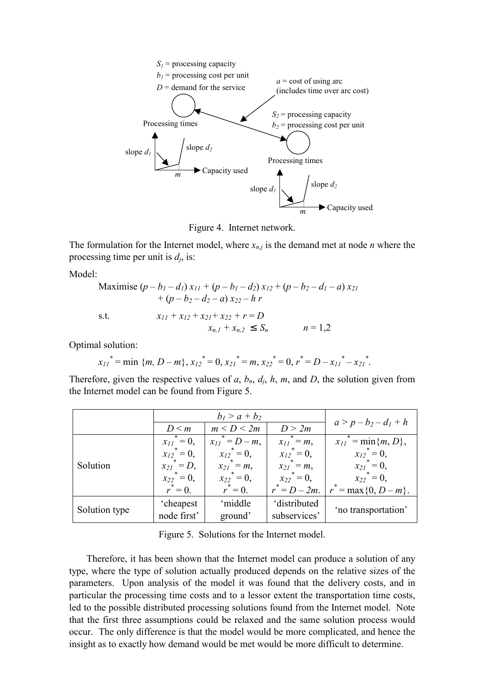

Figure 4. Internet network.

The formulation for the Internet model, where  $x_{n,j}$  is the demand met at node *n* where the processing time per unit is *dj*, is:

Model:

Maximise 
$$
(p - b_1 - d_1) x_{11} + (p - b_1 - d_2) x_{12} + (p - b_2 - d_1 - a) x_{21}
$$
  
+  $(p - b_2 - d_2 - a) x_{22} - h r$   
s.t.  $x_{11} + x_{12} + x_{21} + x_{22} + r = D$   
 $x_{n,1} + x_{n,2} \le S_n$   $n = 1,2$ 

Optimal solution:

$$
x_{11}
$$
<sup>\*</sup> = min {*m*, *D* – *m*},  $x_{12}$ <sup>\*</sup> = 0,  $x_{21}$ <sup>\*</sup> = *m*,  $x_{22}$ <sup>\*</sup> = 0,  $r$ <sup>\*</sup> = *D* –  $x_{11}$ <sup>\*</sup> –  $x_{21}$ <sup>\*</sup>.

Therefore, given the respective values of  $a$ ,  $b_n$ ,  $d_i$ ,  $h$ ,  $m$ , and  $D$ , the solution given from the Internet model can be found from Figure 5.

|               |                    | $b_1 > a + b_2$      |                  |                                                     |  |
|---------------|--------------------|----------------------|------------------|-----------------------------------------------------|--|
|               | $D \leq m$         | m < D < 2m           | D > 2m           | $a > p - b_2 - d_1 + h$                             |  |
|               | $x_{II}^* = 0$ ,   | $x_{11}^* = D - m$ , | $x_{11}^* = m$ , | $x_{11}$ <sup>*</sup> = min{ <i>m</i> , <i>D</i> }, |  |
|               | $x_{12}^* = 0$ ,   | $x_{12}^* = 0$ ,     | $x_{12}^* = 0$ , | $x_{12}^* = 0$ ,                                    |  |
| Solution      | $x_{21}^* = D$ ,   | $x_{21}^* = m$ ,     | $x_{21}^* = m$ , | ${x_{2l}}^* = 0$ ,                                  |  |
|               | ${x_{22}}^* = 0$ , | $x_{22}^* = 0$ ,     | $x_{22}^* = 0$ , | $x_{22}^* = 0$ ,                                    |  |
|               | $r^* = 0$ .        | $r^* = 0$ .          | $r^* = D - 2m$ . | $r^* = \max\{0, D - m\}.$                           |  |
|               | 'cheapest          | 'middle              | 'distributed     |                                                     |  |
| Solution type | node first'        | ground'              | subservices'     | 'no transportation'                                 |  |

Figure 5. Solutions for the Internet model.

Therefore, it has been shown that the Internet model can produce a solution of any type, where the type of solution actually produced depends on the relative sizes of the parameters. Upon analysis of the model it was found that the delivery costs, and in particular the processing time costs and to a lessor extent the transportation time costs, led to the possible distributed processing solutions found from the Internet model. Note that the first three assumptions could be relaxed and the same solution process would occur. The only difference is that the model would be more complicated, and hence the insight as to exactly how demand would be met would be more difficult to determine.